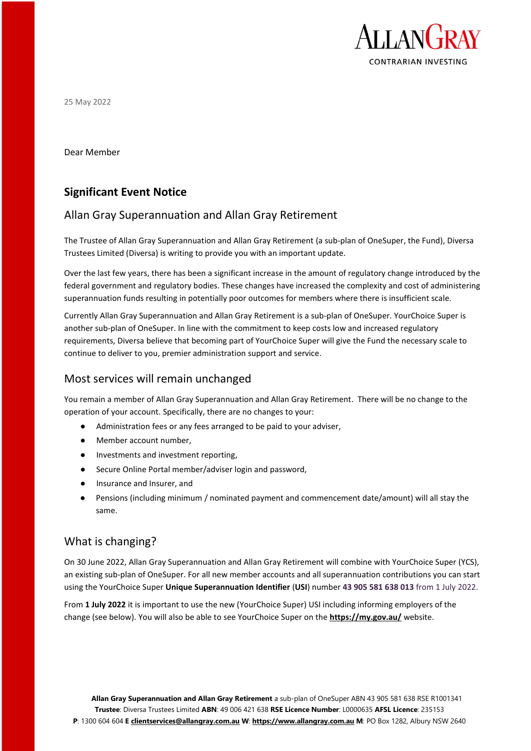

25 May 2022

Dear Member

# **Significant Event Notice**

## Allan Gray Superannuation and Allan Gray Retirement

The Trustee of Allan Gray Superannuation and Allan Gray Retirement (a sub-plan of OneSuper, the Fund), Diversa Trustees Limited (Diversa) is writing to provide you with an important update.

Over the last few years, there has been a significant increase in the amount of regulatory change introduced by the federal government and regulatory bodies. These changes have increased the complexity and cost of administering superannuation funds resulting in potentially poor outcomes for members where there is insufficient scale.

Currently Allan Gray Superannuation and Allan Gray Retirement is a sub-plan of OneSuper. YourChoice Super is another sub-plan of OneSuper. In line with the commitment to keep costs low and increased regulatory requirements, Diversa believe that becoming part of YourChoice Super will give the Fund the necessary scale to continue to deliver to you, premier administration support and service.

### Most services will remain unchanged

You remain a member of Allan Gray Superannuation and Allan Gray Retirement. There will be no change to the operation of your account. Specifically, there are no changes to your:

- Administration fees or any fees arranged to be paid to your adviser,
- Member account number,
- Investments and investment reporting,
- Secure Online Portal member/adviser login and password,
- Insurance and Insurer, and
- Pensions (including minimum / nominated payment and commencement date/amount) will all stay the same.

## What is changing?

On 30 June 2022, Allan Gray Superannuation and Allan Gray Retirement will combine with YourChoice Super (YCS), an existing sub-plan of OneSuper. For all new member accounts and all superannuation contributions you can start using the YourChoice Super **Unique Superannuation Identifier** (**USI**) number **43 905 581 638 013** from 1 July 2022.

From **1 July 2022** it is important to use the new (YourChoice Super) USI including informing employers of the change (see below). You will also be able to see YourChoice Super on the **<https://my.gov.au/>** website.